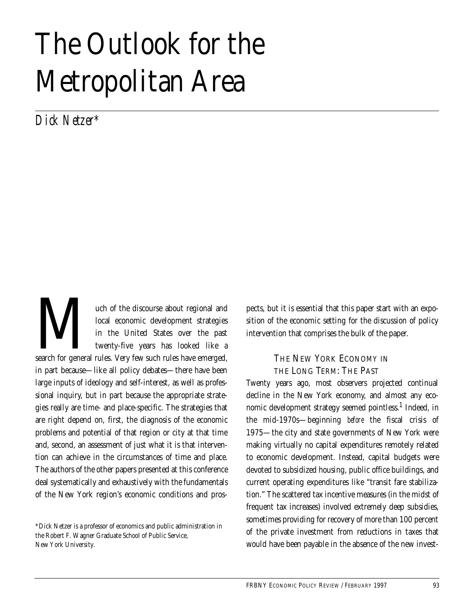# The Outlook for the Metropolitan Area

*Dick Netzer\**

uch of the discourse about regional and local economic development strategies in the United States over the past twenty-five years has looked like a and local economic development strategies<br>
in the United States over the past<br>
twenty-five years has looked like a<br>
search for general rules. Very few such rules have emerged, in part because—like all policy debates—there have been large inputs of ideology and self-interest, as well as professional inquiry, but in part because the appropriate strategies really are time- and place-specific. The strategies that are right depend on, first, the diagnosis of the economic problems and potential of that region or city at that time and, second, an assessment of just what it is that intervention can achieve in the circumstances of time and place. The authors of the other papers presented at this conference deal systematically and exhaustively with the fundamentals of the New York region's economic conditions and pros-

pects, but it is essential that this paper start with an exposition of the economic setting for the discussion of policy intervention that comprises the bulk of the paper.

# THE NEW YORK ECONOMY IN THE LONG TERM: THE PAST

Twenty years ago, most observers projected continual decline in the New York economy, and almost any economic development strategy seemed pointless.<sup>1</sup> Indeed, in the mid-1970s—beginning *before* the fiscal crisis of 1975—the city and state governments of New York were making virtually no capital expenditures remotely related to economic development. Instead, capital budgets were devoted to subsidized housing, public office buildings, and current operating expenditures like "transit fare stabilization." The scattered tax incentive measures (in the midst of frequent tax increases) involved extremely deep subsidies, sometimes providing for recovery of more than 100 percent of the private investment from reductions in taxes that would have been payable in the absence of the new invest-

<sup>\*</sup>Dick Netzer is a professor of economics and public administration in the Robert F. Wagner Graduate School of Public Service, New York University.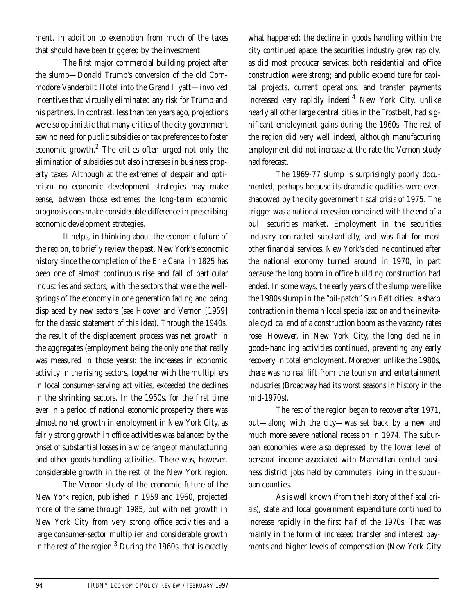ment, in addition to exemption from much of the taxes that should have been triggered by the investment.

The first major commercial building project after the slump—Donald Trump's conversion of the old Commodore Vanderbilt Hotel into the Grand Hyatt—involved incentives that virtually eliminated any risk for Trump and his partners. In contrast, less than ten years ago, projections were so optimistic that many critics of the city government saw no need for public subsidies or tax preferences to foster economic growth.2 The critics often urged not only the elimination of subsidies but also increases in business property taxes. Although at the extremes of despair and optimism no economic development strategies may make sense, between those extremes the long-term economic prognosis does make considerable difference in prescribing economic development strategies.

It helps, in thinking about the economic future of the region, to briefly review the past. New York's economic history since the completion of the Erie Canal in 1825 has been one of almost continuous rise and fall of particular industries and sectors, with the sectors that were the wellsprings of the economy in one generation fading and being displaced by new sectors (see Hoover and Vernon [1959] for the classic statement of this idea). Through the 1940s, the result of the displacement process was net growth in the aggregates (employment being the only one that really was measured in those years): the increases in economic activity in the rising sectors, together with the multipliers in local consumer-serving activities, exceeded the declines in the shrinking sectors. In the 1950s, for the first time ever in a period of national economic prosperity there was almost no net growth in employment in New York City, as fairly strong growth in office activities was balanced by the onset of substantial losses in a wide range of manufacturing and other goods-handling activities. There was, however, considerable growth in the rest of the New York region.

The Vernon study of the economic future of the New York region, published in 1959 and 1960, projected more of the same through 1985, but with net growth in New York City from very strong office activities and a large consumer-sector multiplier and considerable growth in the rest of the region. $^3$  During the 1960s, that is exactly

what happened: the decline in goods handling within the city continued apace; the securities industry grew rapidly, as did most producer services; both residential and office construction were strong; and public expenditure for capital projects, current operations, and transfer payments increased very rapidly indeed.4 New York City, unlike nearly all other large central cities in the Frostbelt, had significant employment gains during the 1960s. The rest of the region did very well indeed, although manufacturing employment did not increase at the rate the Vernon study had forecast.

The 1969-77 slump is surprisingly poorly documented, perhaps because its dramatic qualities were overshadowed by the city government fiscal crisis of 1975. The trigger was a national recession combined with the end of a bull securities market. Employment in the securities industry contracted substantially, and was flat for most other financial services. New York's decline continued after the national economy turned around in 1970, in part because the long boom in office building construction had ended. In some ways, the early years of the slump were like the 1980s slump in the "oil-patch" Sun Belt cities: a sharp contraction in the main local specialization and the inevitable cyclical end of a construction boom as the vacancy rates rose. However, in New York City, the long decline in goods-handling activities continued, preventing any early recovery in total employment. Moreover, unlike the 1980s, there was no real lift from the tourism and entertainment industries (Broadway had its worst seasons in history in the mid-1970s).

The rest of the region began to recover after 1971, but—along with the city—was set back by a new and much more severe national recession in 1974. The suburban economies were also depressed by the lower level of personal income associated with Manhattan central business district jobs held by commuters living in the suburban counties.

As is well known (from the history of the fiscal crisis), state and local government expenditure continued to increase rapidly in the first half of the 1970s. That was mainly in the form of increased transfer and interest payments and higher levels of compensation (New York City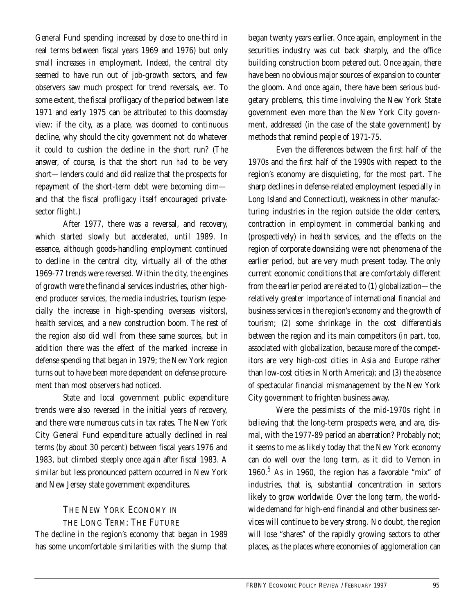General Fund spending increased by close to one-third in real terms between fiscal years 1969 and 1976) but only small increases in employment. Indeed, the central city seemed to have run out of job-growth sectors, and few observers saw much prospect for trend reversals, *ever*. To some extent, the fiscal profligacy of the period between late 1971 and early 1975 can be attributed to this doomsday view: if the city, as a place, was doomed to continuous decline, why should the city government not do whatever it could to cushion the decline in the short run? (The answer, of course, is that the short run *had* to be very short—lenders could and did realize that the prospects for repayment of the short-term debt were becoming dim and that the fiscal profligacy itself encouraged privatesector flight.)

After 1977, there was a reversal, and recovery, which started slowly but accelerated, until 1989. In essence, although goods-handling employment continued to decline in the central city, virtually all of the other 1969-77 trends were reversed. Within the city, the engines of growth were the financial services industries, other highend producer services, the media industries, tourism (especially the increase in high-spending overseas visitors), health services, and a new construction boom. The rest of the region also did well from these same sources, but in addition there was the effect of the marked increase in defense spending that began in 1979; the New York region turns out to have been more dependent on defense procurement than most observers had noticed.

State and local government public expenditure trends were also reversed in the initial years of recovery, and there were numerous cuts in tax rates. The New York City General Fund expenditure actually declined in real terms (by about 30 percent) between fiscal years 1976 and 1983, but climbed steeply once again after fiscal 1983. A similar but less pronounced pattern occurred in New York and New Jersey state government expenditures.

# THE NEW YORK ECONOMY IN THE LONG TERM: THE FUTURE

The decline in the region's economy that began in 1989 has some uncomfortable similarities with the slump that began twenty years earlier. Once again, employment in the securities industry was cut back sharply, and the office building construction boom petered out. Once again, there have been no obvious major sources of expansion to counter the gloom. And once again, there have been serious budgetary problems, this time involving the New York State government even more than the New York City government, addressed (in the case of the state government) by methods that remind people of 1971-75.

Even the differences between the first half of the 1970s and the first half of the 1990s with respect to the region's economy are disquieting, for the most part. The sharp declines in defense-related employment (especially in Long Island and Connecticut), weakness in other manufacturing industries in the region outside the older centers, contraction in employment in commercial banking and (prospectively) in health services, and the effects on the region of corporate downsizing were not phenomena of the earlier period, but are very much present today. The only current economic conditions that are comfortably different from the earlier period are related to (1) globalization—the relatively greater importance of international financial and business services in the region's economy and the growth of tourism; (2) some shrinkage in the cost differentials between the region and its main competitors (in part, too, associated with globalization, because more of the competitors are very high-cost cities in Asia and Europe rather than low-cost cities in North America); and (3) the absence of spectacular financial mismanagement by the New York City government to frighten business away.

Were the pessimists of the mid-1970s right in believing that the long-term prospects were, and are, dismal, with the 1977-89 period an aberration? Probably not; it seems to me as likely today that the New York economy can do well over the long term, as it did to Vernon in 1960.<sup>5</sup> As in 1960, the region has a favorable "mix" of industries, that is, substantial concentration in sectors likely to grow worldwide. Over the long term, the worldwide demand for high-end financial and other business services will continue to be very strong. No doubt, the region will lose "shares" of the rapidly growing sectors to other places, as the places where economies of agglomeration can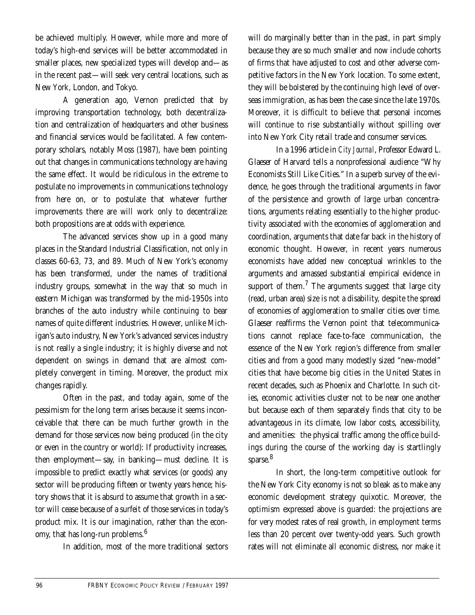be achieved multiply. However, while more and more of today's high-end services will be better accommodated in smaller places, new specialized types will develop and—as in the recent past—will seek very central locations, such as New York, London, and Tokyo.

A generation ago, Vernon predicted that by improving transportation technology, both decentralization and centralization of headquarters and other business and financial services would be facilitated. A few contemporary scholars, notably Moss (1987), have been pointing out that changes in communications technology are having the same effect. It would be ridiculous in the extreme to postulate no improvements in communications technology from here on, or to postulate that whatever further improvements there are will work only to decentralize: both propositions are at odds with experience.

The advanced services show up in a good many places in the Standard Industrial Classification, not only in classes 60-63, 73, and 89. Much of New York's economy has been transformed, under the names of traditional industry groups, somewhat in the way that so much in eastern Michigan was transformed by the mid-1950s into branches of the auto industry while continuing to bear names of quite different industries. However, unlike Michigan's auto industry, New York's advanced services industry is not really a single industry; it is highly diverse and not dependent on swings in demand that are almost completely convergent in timing. Moreover, the product mix changes rapidly.

Often in the past, and today again, some of the pessimism for the long term arises because it seems inconceivable that there can be much further growth in the demand for those services now being produced (in the city or even in the country or world): If productivity increases, then employment—say, in banking—must decline. It is impossible to predict exactly what services (or goods) any sector will be producing fifteen or twenty years hence; history shows that it is absurd to assume that growth in a sector will cease because of a surfeit of those services in today's product mix. It is our imagination, rather than the economy, that has long-run problems.<sup>6</sup>

In addition, most of the more traditional sectors

will do marginally better than in the past, in part simply because they are so much smaller and now include cohorts of firms that have adjusted to cost and other adverse competitive factors in the New York location. To some extent, they will be bolstered by the continuing high level of overseas immigration, as has been the case since the late 1970s. Moreover, it is difficult to believe that personal incomes will continue to rise substantially without spilling over into New York City retail trade and consumer services.

In a 1996 article in *City Journal*, Professor Edward L. Glaeser of Harvard tells a nonprofessional audience "Why Economists Still Like Cities." In a superb survey of the evidence, he goes through the traditional arguments in favor of the persistence and growth of large urban concentrations, arguments relating essentially to the higher productivity associated with the economies of agglomeration and coordination, arguments that date far back in the history of economic thought. However, in recent years numerous economists have added new conceptual wrinkles to the arguments and amassed substantial empirical evidence in support of them. $^{7}$  The arguments suggest that large city (read, urban area) size is not a disability, despite the spread of economies of agglomeration to smaller cities over time. Glaeser reaffirms the Vernon point that telecommunications cannot replace face-to-face communication, the essence of the New York region's difference from smaller cities and from a good many modestly sized "new-model" cities that have become big cities in the United States in recent decades, such as Phoenix and Charlotte. In such cities, economic activities cluster not to be near one another but because each of them separately finds that city to be advantageous in its climate, low labor costs, accessibility, and amenities: the physical traffic among the office buildings during the course of the working day is startlingly sparse.<sup>8</sup>

In short, the long-term competitive outlook for the New York City economy is not so bleak as to make any economic development strategy quixotic. Moreover, the optimism expressed above is guarded: the projections are for very modest rates of real growth, in employment terms less than 20 percent over twenty-odd years. Such growth rates will not eliminate all economic distress, nor make it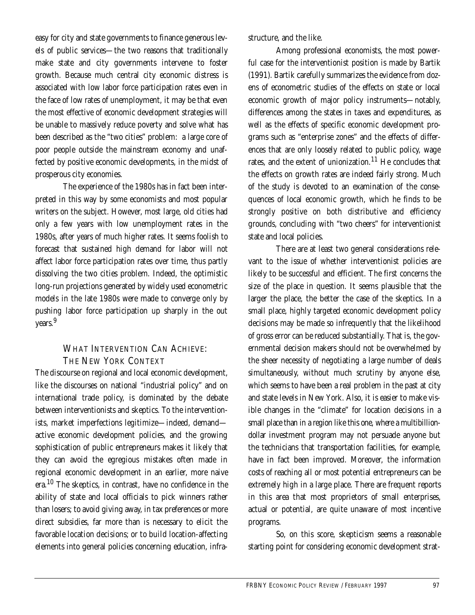easy for city and state governments to finance generous levels of public services—the two reasons that traditionally make state and city governments intervene to foster growth. Because much central city economic distress is associated with low labor force participation rates even in the face of low rates of unemployment, it may be that even the most effective of economic development strategies will be unable to massively reduce poverty and solve what has been described as the "two cities" problem: a large core of poor people outside the mainstream economy and unaffected by positive economic developments, in the midst of prosperous city economies.

The experience of the 1980s has in fact been interpreted in this way by some economists and most popular writers on the subject. However, most large, old cities had only a few years with low unemployment rates in the 1980s, after years of much higher rates. It seems foolish to forecast that sustained high demand for labor will not affect labor force participation rates over time, thus partly dissolving the two cities problem. Indeed, the optimistic long-run projections generated by widely used econometric models in the late 1980s were made to converge only by pushing labor force participation up sharply in the out years.<sup>9</sup>

# WHAT INTERVENTION CAN ACHIEVE: THE NEW YORK CONTEXT

The discourse on regional and local economic development, like the discourses on national "industrial policy" and on international trade policy, is dominated by the debate between interventionists and skeptics. To the interventionists, market imperfections legitimize—indeed, demand active economic development policies, and the growing sophistication of public entrepreneurs makes it likely that they can avoid the egregious mistakes often made in regional economic development in an earlier, more naive era.10 The skeptics, in contrast, have no confidence in the ability of state and local officials to pick winners rather than losers; to avoid giving away, in tax preferences or more direct subsidies, far more than is necessary to elicit the favorable location decisions; or to build location-affecting elements into general policies concerning education, infrastructure, and the like.

Among professional economists, the most powerful case for the interventionist position is made by Bartik (1991). Bartik carefully summarizes the evidence from dozens of econometric studies of the effects on state or local economic growth of major policy instruments—notably, differences among the states in taxes and expenditures, as well as the effects of specific economic development programs such as "enterprise zones" and the effects of differences that are only loosely related to public policy, wage rates, and the extent of unionization.<sup>11</sup> He concludes that the effects on growth rates are indeed fairly strong. Much of the study is devoted to an examination of the consequences of local economic growth, which he finds to be strongly positive on both distributive and efficiency grounds, concluding with "two cheers" for interventionist state and local policies.

There are at least two general considerations relevant to the issue of whether interventionist policies are likely to be successful and efficient. The first concerns the size of the place in question. It seems plausible that the larger the place, the better the case of the skeptics. In a small place, highly targeted economic development policy decisions may be made so infrequently that the likelihood of gross error can be reduced substantially. That is, the governmental decision makers should not be overwhelmed by the sheer necessity of negotiating a large number of deals simultaneously, without much scrutiny by anyone else, which seems to have been a real problem in the past at city and state levels in New York. Also, it is easier to make visible changes in the "climate" for location decisions in a small place than in a region like this one, where a multibilliondollar investment program may not persuade anyone but the technicians that transportation facilities, for example, have in fact been improved. Moreover, the information costs of reaching all or most potential entrepreneurs can be extremely high in a large place. There are frequent reports in this area that most proprietors of small enterprises, actual or potential, are quite unaware of most incentive programs.

So, on this score, skepticism seems a reasonable starting point for considering economic development strat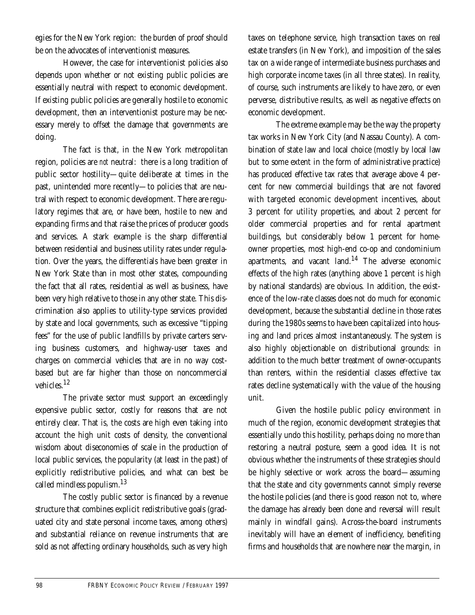egies for the New York region: the burden of proof should be on the advocates of interventionist measures.

However, the case for interventionist policies also depends upon whether or not existing public policies are essentially neutral with respect to economic development. If existing public policies are generally hostile to economic development, then an interventionist posture may be necessary merely to offset the damage that governments are doing.

The fact is that, in the New York metropolitan region, policies are *not* neutral: there is a long tradition of public sector hostility—quite deliberate at times in the past, unintended more recently—to policies that are neutral with respect to economic development. There are regulatory regimes that are, or have been, hostile to new and expanding firms and that raise the prices of producer goods and services. A stark example is the sharp differential between residential and business utility rates under regulation. Over the years, the differentials have been greater in New York State than in most other states, compounding the fact that all rates, residential as well as business, have been very high relative to those in any other state. This discrimination also applies to utility-type services provided by state and local governments, such as excessive "tipping fees" for the use of public landfills by private carters serving business customers, and highway-user taxes and charges on commercial vehicles that are in no way costbased but are far higher than those on noncommercial vehicles.<sup>12</sup>

The private sector must support an exceedingly expensive public sector, costly for reasons that are not entirely clear. That is, the costs are high even taking into account the high unit costs of density, the conventional wisdom about diseconomies of scale in the production of local public services, the popularity (at least in the past) of explicitly redistributive policies, and what can best be called mindless populism.13

The costly public sector is financed by a revenue structure that combines explicit redistributive goals (graduated city and state personal income taxes, among others) and substantial reliance on revenue instruments that are sold as not affecting ordinary households, such as very high

taxes on telephone service, high transaction taxes on real estate transfers (in New York), and imposition of the sales tax on a wide range of intermediate business purchases and high corporate income taxes (in all three states). In reality, of course, such instruments are likely to have zero, or even perverse, distributive results, as well as negative effects on economic development.

The extreme example may be the way the property tax works in New York City (and Nassau County). A combination of state law and local choice (mostly by local law but to some extent in the form of administrative practice) has produced effective tax rates that average above 4 percent for new commercial buildings that are not favored with targeted economic development incentives, about 3 percent for utility properties, and about 2 percent for older commercial properties and for rental apartment buildings, but considerably below 1 percent for homeowner properties, most high-end co-op and condominium apartments, and vacant land. $14$  The adverse economic effects of the high rates (anything above 1 percent is high by national standards) are obvious. In addition, the existence of the low-rate classes does not do much for economic development, because the substantial decline in those rates during the 1980s seems to have been capitalized into housing and land prices almost instantaneously. The system is also highly objectionable on distributional grounds: in addition to the much better treatment of owner-occupants than renters, within the residential classes effective tax rates decline systematically with the value of the housing unit.

Given the hostile public policy environment in much of the region, economic development strategies that essentially undo this hostility, perhaps doing no more than restoring a neutral posture, seem a good idea. It is not obvious whether the instruments of these strategies should be highly selective or work across the board—assuming that the state and city governments cannot simply reverse the hostile policies (and there is good reason not to, where the damage has already been done and reversal will result mainly in windfall gains). Across-the-board instruments inevitably will have an element of inefficiency, benefiting firms and households that are nowhere near the margin, in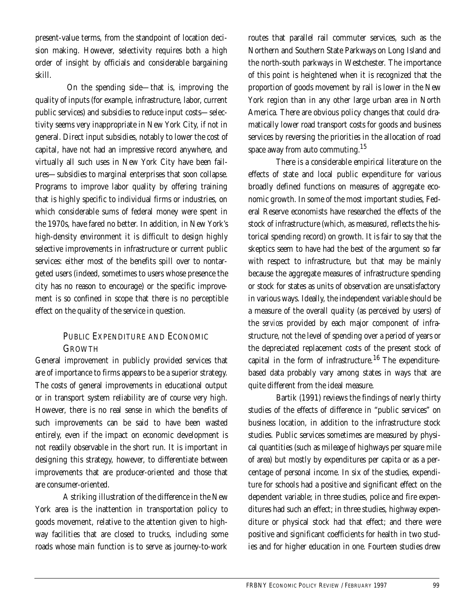present-value terms, from the standpoint of location decision making. However, selectivity requires both a high order of insight by officials and considerable bargaining skill.

 On the spending side—that is, improving the quality of inputs (for example, infrastructure, labor, current public services) and subsidies to reduce input costs—selectivity seems very inappropriate in New York City, if not in general. Direct input subsidies, notably to lower the cost of capital, have not had an impressive record anywhere, and virtually all such uses in New York City have been failures—subsidies to marginal enterprises that soon collapse. Programs to improve labor quality by offering training that is highly specific to individual firms or industries, on which considerable sums of federal money were spent in the 1970s, have fared no better. In addition, in New York's high-density environment it is difficult to design highly selective improvements in infrastructure or current public services: either most of the benefits spill over to nontargeted users (indeed, sometimes to users whose presence the city has no reason to encourage) or the specific improvement is so confined in scope that there is no perceptible effect on the quality of the service in question.

## PUBLIC EXPENDITURE AND ECONOMIC GROWTH

General improvement in publicly provided services that are of importance to firms appears to be a superior strategy. The costs of general improvements in educational output or in transport system reliability are of course very high. However, there is no real sense in which the benefits of such improvements can be said to have been wasted entirely, even if the impact on economic development is not readily observable in the short run. It is important in designing this strategy, however, to differentiate between improvements that are producer-oriented and those that are consumer-oriented.

A striking illustration of the difference in the New York area is the inattention in transportation policy to goods movement, relative to the attention given to highway facilities that are closed to trucks, including some roads whose main function is to serve as journey-to-work

routes that parallel rail commuter services, such as the Northern and Southern State Parkways on Long Island and the north-south parkways in Westchester. The importance of this point is heightened when it is recognized that the proportion of goods movement by rail is lower in the New York region than in any other large urban area in North America. There are obvious policy changes that could dramatically lower road transport costs for goods and business services by reversing the priorities in the allocation of road space away from auto commuting.<sup>15</sup>

There is a considerable empirical literature on the effects of state and local public expenditure for various broadly defined functions on measures of aggregate economic growth. In some of the most important studies, Federal Reserve economists have researched the effects of the stock of infrastructure (which, as measured, reflects the historical spending record) on growth. It is fair to say that the skeptics seem to have had the best of the argument so far with respect to infrastructure, but that may be mainly because the aggregate measures of infrastructure spending or stock for states as units of observation are unsatisfactory in various ways. Ideally, the independent variable should be a measure of the overall quality (as perceived by users) of the *services* provided by each major component of infrastructure, not the level of spending over a period of years or the depreciated replacement costs of the present stock of capital in the form of infrastructure.<sup>16</sup> The expenditurebased data probably vary among states in ways that are quite different from the ideal measure.

Bartik (1991) reviews the findings of nearly thirty studies of the effects of difference in "public services" on business location, in addition to the infrastructure stock studies. Public services sometimes are measured by physical quantities (such as mileage of highways per square mile of area) but mostly by expenditures per capita or as a percentage of personal income. In six of the studies, expenditure for schools had a positive and significant effect on the dependent variable; in three studies, police and fire expenditures had such an effect; in three studies, highway expenditure or physical stock had that effect; and there were positive and significant coefficients for health in two studies and for higher education in one. Fourteen studies drew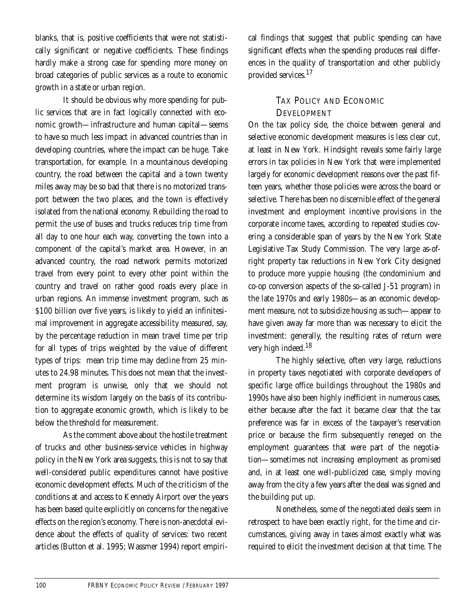blanks, that is, positive coefficients that were not statistically significant or negative coefficients. These findings hardly make a strong case for spending more money on broad categories of public services as a route to economic growth in a state or urban region.

It should be obvious why more spending for public services that are in fact logically connected with economic growth—infrastructure and human capital—seems to have so much less impact in advanced countries than in developing countries, where the impact can be huge. Take transportation, for example. In a mountainous developing country, the road between the capital and a town twenty miles away may be so bad that there is no motorized transport between the two places, and the town is effectively isolated from the national economy. Rebuilding the road to permit the use of buses and trucks reduces trip time from all day to one hour each way, converting the town into a component of the capital's market area. However, in an advanced country, the road network permits motorized travel from every point to every other point within the country and travel on rather good roads every place in urban regions. An immense investment program, such as \$100 billion over five years, is likely to yield an infinitesimal improvement in aggregate accessibility measured, say, by the percentage reduction in mean travel time per trip for all types of trips weighted by the value of different types of trips: mean trip time may decline from 25 minutes to 24.98 minutes. This does not mean that the investment program is unwise, only that we should not determine its wisdom largely on the basis of its contribution to aggregate economic growth, which is likely to be below the threshold for measurement.

As the comment above about the hostile treatment of trucks and other business-service vehicles in highway policy in the New York area suggests, this is not to say that well-considered public expenditures cannot have positive economic development effects. Much of the criticism of the conditions at and access to Kennedy Airport over the years has been based quite explicitly on concerns for the negative effects on the region's economy. There is non-anecdotal evidence about the effects of quality of services: two recent articles (Button et al. 1995; Wassmer 1994) report empirical findings that suggest that public spending can have significant effects when the spending produces real differences in the quality of transportation and other publicly provided services.17

### TAX POLICY AND ECONOMIC **DEVELOPMENT**

On the tax policy side, the choice between general and selective economic development measures is less clear cut, at least in New York. Hindsight reveals some fairly large errors in tax policies in New York that were implemented largely for economic development reasons over the past fifteen years, whether those policies were across the board or selective. There has been no discernible effect of the general investment and employment incentive provisions in the corporate income taxes, according to repeated studies covering a considerable span of years by the New York State Legislative Tax Study Commission. The very large as-ofright property tax reductions in New York City designed to produce more yuppie housing (the condominium and co-op conversion aspects of the so-called J-51 program) in the late 1970s and early 1980s—as an economic development measure, not to subsidize housing as such—appear to have given away far more than was necessary to elicit the investment: generally, the resulting rates of return were very high indeed.<sup>18</sup>

The highly selective, often very large, reductions in property taxes negotiated with corporate developers of specific large office buildings throughout the 1980s and 1990s have also been highly inefficient in numerous cases, either because after the fact it became clear that the tax preference was far in excess of the taxpayer's reservation price or because the firm subsequently reneged on the employment guarantees that were part of the negotiation—sometimes not increasing employment as promised and, in at least one well-publicized case, simply moving away from the city a few years after the deal was signed and the building put up.

Nonetheless, some of the negotiated deals seem in retrospect to have been exactly right, for the time and circumstances, giving away in taxes almost exactly what was required to elicit the investment decision at that time. The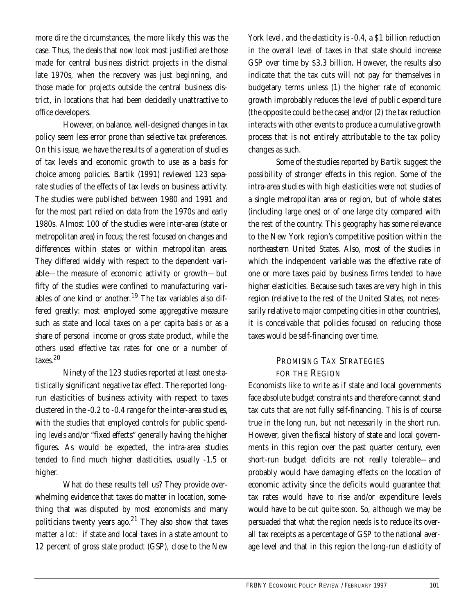more dire the circumstances, the more likely this was the case. Thus, the deals that now look most justified are those made for central business district projects in the dismal late 1970s, when the recovery was just beginning, and those made for projects outside the central business district, in locations that had been decidedly unattractive to office developers.

However, on balance, well-designed changes in tax policy seem less error prone than selective tax preferences. On this issue, we have the results of a generation of studies of tax levels and economic growth to use as a basis for choice among policies. Bartik (1991) reviewed 123 separate studies of the effects of tax levels on business activity. The studies were published between 1980 and 1991 and for the most part relied on data from the 1970s and early 1980s. Almost 100 of the studies were inter-area (state or metropolitan area) in focus; the rest focused on changes and differences within states or within metropolitan areas. They differed widely with respect to the dependent variable—the measure of economic activity or growth—but fifty of the studies were confined to manufacturing variables of one kind or another.<sup>19</sup> The tax variables also differed greatly: most employed some aggregative measure such as state and local taxes on a per capita basis or as a share of personal income or gross state product, while the others used effective tax rates for one or a number of taxes<sup>20</sup>

Ninety of the 123 studies reported at least one statistically significant negative tax effect. The reported longrun elasticities of business activity with respect to taxes clustered in the -0.2 to -0.4 range for the inter-area studies, with the studies that employed controls for public spending levels and/or "fixed effects" generally having the higher figures. As would be expected, the intra-area studies tended to find much higher elasticities, usually -1.5 or higher.

What do these results tell us? They provide overwhelming evidence that taxes do matter in location, something that was disputed by most economists and many politicians twenty years ago.<sup>21</sup> They also show that taxes matter a lot: if state and local taxes in a state amount to 12 percent of gross state product (GSP), close to the New

York level, and the elasticity is -0.4, a \$1 billion reduction in the overall level of taxes in that state should increase GSP over time by \$3.3 billion. However, the results also indicate that the tax cuts will not pay for themselves in budgetary terms unless (1) the higher rate of economic growth improbably reduces the level of public expenditure (the opposite could be the case) and/or (2) the tax reduction interacts with other events to produce a cumulative growth process that is not entirely attributable to the tax policy changes as such.

Some of the studies reported by Bartik suggest the possibility of stronger effects in this region. Some of the intra-area studies with high elasticities were not studies of a single metropolitan area or region, but of whole states (including large ones) or of one large city compared with the rest of the country. This geography has some relevance to the New York region's competitive position within the northeastern United States. Also, most of the studies in which the independent variable was the effective rate of one or more taxes paid by business firms tended to have higher elasticities. Because such taxes are very high in this region (relative to the rest of the United States, not necessarily relative to major competing cities in other countries), it is conceivable that policies focused on reducing those taxes would be self-financing over time.

# PROMISING TAX STRATEGIES FOR THE REGION

Economists like to write as if state and local governments face absolute budget constraints and therefore cannot stand tax cuts that are not fully self-financing. This is of course true in the long run, but not necessarily in the short run. However, given the fiscal history of state and local governments in this region over the past quarter century, even short-run budget deficits are not really tolerable—and probably would have damaging effects on the location of economic activity since the deficits would guarantee that tax rates would have to rise and/or expenditure levels would have to be cut quite soon. So, although we may be persuaded that what the region needs is to reduce its overall tax receipts as a percentage of GSP to the national average level and that in this region the long-run elasticity of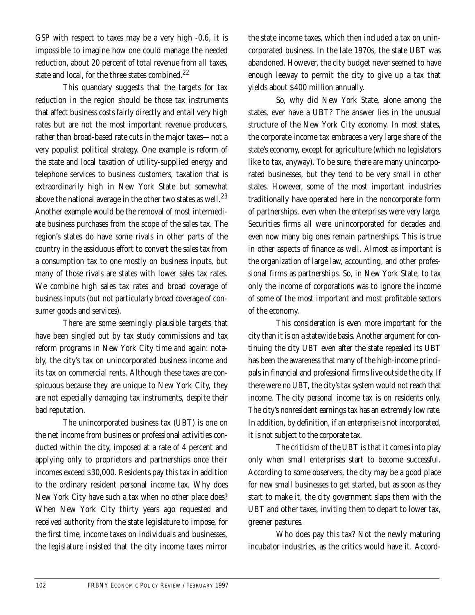GSP with respect to taxes may be a very high -0.6, it is impossible to imagine how one could manage the needed reduction, about 20 percent of total revenue from *all* taxes, state and local, for the three states combined.<sup>22</sup>

This quandary suggests that the targets for tax reduction in the region should be those tax instruments that affect business costs fairly directly and entail very high rates but are not the most important revenue producers, rather than broad-based rate cuts in the major taxes—not a very populist political strategy. One example is reform of the state and local taxation of utility-supplied energy and telephone services to business customers, taxation that is extraordinarily high in New York State but somewhat above the national average in the other two states as well.<sup>23</sup> Another example would be the removal of most intermediate business purchases from the scope of the sales tax. The region's states do have some rivals in other parts of the country in the assiduous effort to convert the sales tax from a consumption tax to one mostly on business inputs, but many of those rivals are states with lower sales tax rates. We combine high sales tax rates and broad coverage of business inputs (but not particularly broad coverage of consumer goods and services).

There are some seemingly plausible targets that have been singled out by tax study commissions and tax reform programs in New York City time and again: notably, the city's tax on unincorporated business income and its tax on commercial rents. Although these taxes are conspicuous because they are unique to New York City, they are not especially damaging tax instruments, despite their bad reputation.

The unincorporated business tax (UBT) is one on the net income from business or professional activities conducted within the city, imposed at a rate of 4 percent and applying only to proprietors and partnerships once their incomes exceed \$30,000. Residents pay this tax in addition to the ordinary resident personal income tax. Why does New York City have such a tax when no other place does? When New York City thirty years ago requested and received authority from the state legislature to impose, for the first time, income taxes on individuals and businesses, the legislature insisted that the city income taxes mirror

the state income taxes, which then included a tax on unincorporated business. In the late 1970s, the state UBT was abandoned. However, the city budget never seemed to have enough leeway to permit the city to give up a tax that yields about \$400 million annually.

So, why did New York State, alone among the states, ever have a UBT? The answer lies in the unusual structure of the New York City economy. In most states, the corporate income tax embraces a very large share of the state's economy, except for agriculture (which no legislators like to tax, anyway). To be sure, there are many unincorporated businesses, but they tend to be very small in other states. However, some of the most important industries traditionally have operated here in the noncorporate form of partnerships, even when the enterprises were very large. Securities firms all were unincorporated for decades and even now many big ones remain partnerships. This is true in other aspects of finance as well. Almost as important is the organization of large law, accounting, and other professional firms as partnerships. So, in New York State, to tax only the income of corporations was to ignore the income of some of the most important and most profitable sectors of the economy.

This consideration is even more important for the city than it is on a statewide basis. Another argument for continuing the city UBT even after the state repealed its UBT has been the awareness that many of the high-income principals in financial and professional firms live outside the city. If there were no UBT, the city's tax system would not reach that income. The city personal income tax is on residents only. The city's nonresident earnings tax has an extremely low rate. In addition, by definition, if an enterprise is not incorporated, it is not subject to the corporate tax.

The criticism of the UBT is that it comes into play only when small enterprises start to become successful. According to some observers, the city may be a good place for new small businesses to get started, but as soon as they start to make it, the city government slaps them with the UBT and other taxes, inviting them to depart to lower tax, greener pastures.

Who does pay this tax? Not the newly maturing incubator industries, as the critics would have it. Accord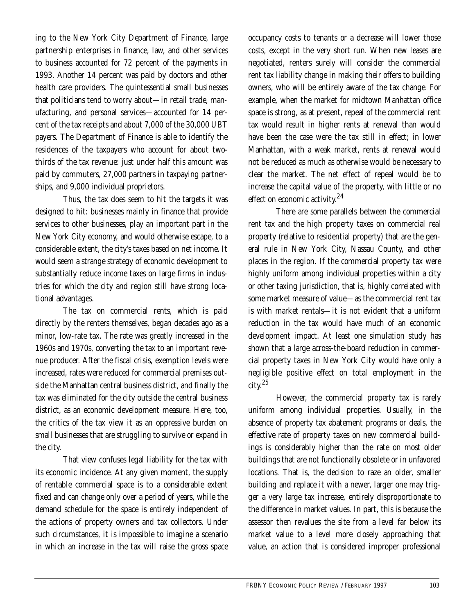ing to the New York City Department of Finance, large partnership enterprises in finance, law, and other services to business accounted for 72 percent of the payments in 1993. Another 14 percent was paid by doctors and other health care providers. The quintessential small businesses that politicians tend to worry about—in retail trade, manufacturing, and personal services—accounted for 14 percent of the tax receipts and about 7,000 of the 30,000 UBT payers. The Department of Finance is able to identify the residences of the taxpayers who account for about twothirds of the tax revenue: just under half this amount was paid by commuters, 27,000 partners in taxpaying partnerships, and 9,000 individual proprietors.

Thus, the tax does seem to hit the targets it was designed to hit: businesses mainly in finance that provide services to other businesses, play an important part in the New York City economy, and would otherwise escape, to a considerable extent, the city's taxes based on net income. It would seem a strange strategy of economic development to substantially reduce income taxes on large firms in industries for which the city and region still have strong locational advantages.

The tax on commercial rents, which is paid directly by the renters themselves, began decades ago as a minor, low-rate tax. The rate was greatly increased in the 1960s and 1970s, converting the tax to an important revenue producer. After the fiscal crisis, exemption levels were increased, rates were reduced for commercial premises outside the Manhattan central business district, and finally the tax was eliminated for the city outside the central business district, as an economic development measure. Here, too, the critics of the tax view it as an oppressive burden on small businesses that are struggling to survive or expand in the city.

That view confuses legal liability for the tax with its economic incidence. At any given moment, the supply of rentable commercial space is to a considerable extent fixed and can change only over a period of years, while the demand schedule for the space is entirely independent of the actions of property owners and tax collectors. Under such circumstances, it is impossible to imagine a scenario in which an increase in the tax will raise the gross space

occupancy costs to tenants or a decrease will lower those costs, except in the very short run. When new leases are negotiated, renters surely will consider the commercial rent tax liability change in making their offers to building owners, who will be entirely aware of the tax change. For example, when the market for midtown Manhattan office space is strong, as at present, repeal of the commercial rent tax would result in higher rents at renewal than would have been the case were the tax still in effect; in lower Manhattan, with a weak market, rents at renewal would not be reduced as much as otherwise would be necessary to clear the market. The net effect of repeal would be to increase the capital value of the property, with little or no effect on economic activity.<sup>24</sup>

There are some parallels between the commercial rent tax and the high property taxes on commercial real property (relative to residential property) that are the general rule in New York City, Nassau County, and other places in the region. If the commercial property tax were highly uniform among individual properties within a city or other taxing jurisdiction, that is, highly correlated with some market measure of value—as the commercial rent tax is with market rentals—it is not evident that a uniform reduction in the tax would have much of an economic development impact. At least one simulation study has shown that a large across-the-board reduction in commercial property taxes in New York City would have only a negligible positive effect on total employment in the city.25

However, the commercial property tax is rarely uniform among individual properties. Usually, in the absence of property tax abatement programs or deals, the effective rate of property taxes on new commercial buildings is considerably higher than the rate on most older buildings that are not functionally obsolete or in unfavored locations. That is, the decision to raze an older, smaller building and replace it with a newer, larger one may trigger a very large tax increase, entirely disproportionate to the difference in market values. In part, this is because the assessor then revalues the site from a level far below its market value to a level more closely approaching that value, an action that is considered improper professional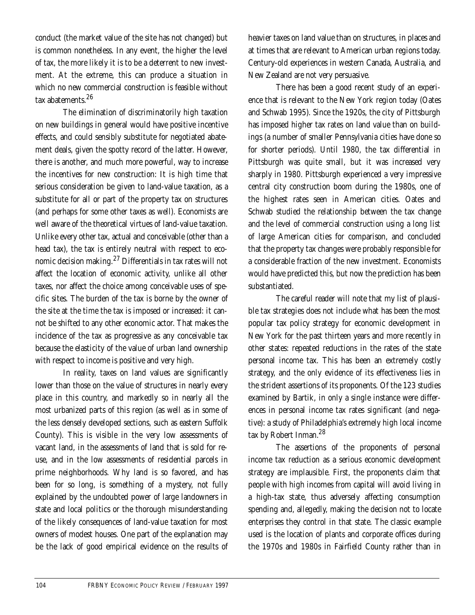conduct (the market value of the site has not changed) but is common nonetheless. In any event, the higher the level of tax, the more likely it is to be a deterrent to new investment. At the extreme, this can produce a situation in which no new commercial construction is feasible without tax abatements.<sup>26</sup>

The elimination of discriminatorily high taxation on new buildings in general would have positive incentive effects, and could sensibly substitute for negotiated abatement deals, given the spotty record of the latter. However, there is another, and much more powerful, way to increase the incentives for new construction: It is high time that serious consideration be given to land-value taxation, as a substitute for all or part of the property tax on structures (and perhaps for some other taxes as well). Economists are well aware of the theoretical virtues of land-value taxation. Unlike every other tax, actual and conceivable (other than a head tax), the tax is entirely neutral with respect to economic decision making.27 Differentials in tax rates will not affect the location of economic activity, unlike all other taxes, nor affect the choice among conceivable uses of specific sites. The burden of the tax is borne by the owner of the site at the time the tax is imposed or increased: it cannot be shifted to any other economic actor. That makes the incidence of the tax as progressive as any conceivable tax because the elasticity of the value of urban land ownership with respect to income is positive and very high.

In reality, taxes on land values are significantly lower than those on the value of structures in nearly every place in this country, and markedly so in nearly all the most urbanized parts of this region (as well as in some of the less densely developed sections, such as eastern Suffolk County). This is visible in the very low assessments of vacant land, in the assessments of land that is sold for reuse, and in the low assessments of residential parcels in prime neighborhoods. Why land is so favored, and has been for so long, is something of a mystery, not fully explained by the undoubted power of large landowners in state and local politics or the thorough misunderstanding of the likely consequences of land-value taxation for most owners of modest houses. One part of the explanation may be the lack of good empirical evidence on the results of heavier taxes on land value than on structures, in places and at times that are relevant to American urban regions today. Century-old experiences in western Canada, Australia, and New Zealand are not very persuasive.

There has been a good recent study of an experience that is relevant to the New York region today (Oates and Schwab 1995). Since the 1920s, the city of Pittsburgh has imposed higher tax rates on land value than on buildings (a number of smaller Pennsylvania cities have done so for shorter periods). Until 1980, the tax differential in Pittsburgh was quite small, but it was increased very sharply in 1980. Pittsburgh experienced a very impressive central city construction boom during the 1980s, one of the highest rates seen in American cities. Oates and Schwab studied the relationship between the tax change and the level of commercial construction using a long list of large American cities for comparison, and concluded that the property tax changes were probably responsible for a considerable fraction of the new investment. Economists would have predicted this, but now the prediction has been substantiated.

The careful reader will note that my list of plausible tax strategies does not include what has been the most popular tax policy strategy for economic development in New York for the past thirteen years and more recently in other states: repeated reductions in the rates of the state personal income tax. This has been an extremely costly strategy, and the only evidence of its effectiveness lies in the strident assertions of its proponents. Of the 123 studies examined by Bartik, in only a single instance were differences in personal income tax rates significant (and negative): a study of Philadelphia's extremely high local income tax by Robert Inman.<sup>28</sup>

The assertions of the proponents of personal income tax reduction as a serious economic development strategy are implausible. First, the proponents claim that people with high incomes from capital will avoid living in a high-tax state, thus adversely affecting consumption spending and, allegedly, making the decision not to locate enterprises they control in that state. The classic example used is the location of plants and corporate offices during the 1970s and 1980s in Fairfield County rather than in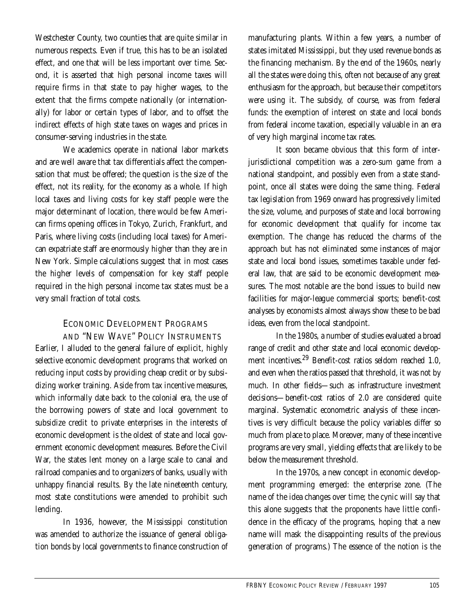Westchester County, two counties that are quite similar in numerous respects. Even if true, this has to be an isolated effect, and one that will be less important over time. Second, it is asserted that high personal income taxes will require firms in that state to pay higher wages, to the extent that the firms compete nationally (or internationally) for labor or certain types of labor, and to offset the indirect effects of high state taxes on wages and prices in consumer-serving industries in the state.

We academics operate in national labor markets and are well aware that tax differentials affect the compensation that must be offered; the question is the size of the effect, not its reality, for the economy as a whole. If high local taxes and living costs for key staff people were the major determinant of location, there would be few American firms opening offices in Tokyo, Zurich, Frankfurt, and Paris, where living costs (including local taxes) for American expatriate staff are enormously higher than they are in New York. Simple calculations suggest that in most cases the higher levels of compensation for key staff people required in the high personal income tax states must be a very small fraction of total costs.

## ECONOMIC DEVELOPMENT PROGRAMS AND "NEW WAVE" POLICY INSTRUMENTS

Earlier, I alluded to the general failure of explicit, highly selective economic development programs that worked on reducing input costs by providing cheap credit or by subsidizing worker training. Aside from tax incentive measures, which informally date back to the colonial era, the use of the borrowing powers of state and local government to subsidize credit to private enterprises in the interests of economic development is the oldest of state and local government economic development measures. Before the Civil War, the states lent money on a large scale to canal and railroad companies and to organizers of banks, usually with unhappy financial results. By the late nineteenth century, most state constitutions were amended to prohibit such lending.

In 1936, however, the Mississippi constitution was amended to authorize the issuance of general obligation bonds by local governments to finance construction of

manufacturing plants. Within a few years, a number of states imitated Mississippi, but they used revenue bonds as the financing mechanism. By the end of the 1960s, nearly all the states were doing this, often not because of any great enthusiasm for the approach, but because their competitors were using it. The subsidy, of course, was from federal funds: the exemption of interest on state and local bonds from federal income taxation, especially valuable in an era of very high marginal income tax rates.

It soon became obvious that this form of interjurisdictional competition was a zero-sum game from a national standpoint, and possibly even from a state standpoint, once all states were doing the same thing. Federal tax legislation from 1969 onward has progressively limited the size, volume, and purposes of state and local borrowing for economic development that qualify for income tax exemption. The change has reduced the charms of the approach but has not eliminated some instances of major state and local bond issues, sometimes taxable under federal law, that are said to be economic development measures. The most notable are the bond issues to build new facilities for major-league commercial sports; benefit-cost analyses by economists almost always show these to be bad ideas, even from the local standpoint.

In the 1980s, a number of studies evaluated a broad range of credit and other state and local economic development incentives.29 Benefit-cost ratios seldom reached 1.0, and even when the ratios passed that threshold, it was not by much. In other fields—such as infrastructure investment decisions—benefit-cost ratios of 2.0 are considered quite marginal. Systematic econometric analysis of these incentives is very difficult because the policy variables differ so much from place to place. Moreover, many of these incentive programs are very small, yielding effects that are likely to be below the measurement threshold.

In the 1970s, a new concept in economic development programming emerged: the enterprise zone. (The name of the idea changes over time; the cynic will say that this alone suggests that the proponents have little confidence in the efficacy of the programs, hoping that a new name will mask the disappointing results of the previous generation of programs.) The essence of the notion is the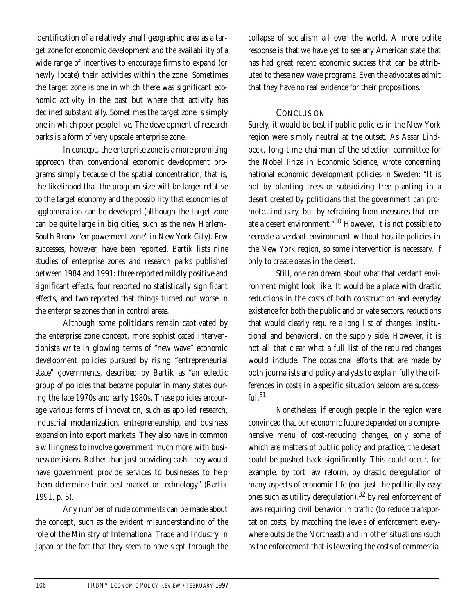identification of a relatively small geographic area as a target zone for economic development and the availability of a wide range of incentives to encourage firms to expand (or newly locate) their activities within the zone. Sometimes the target zone is one in which there was significant economic activity in the past but where that activity has declined substantially. Sometimes the target zone is simply one in which poor people live. The development of research parks is a form of very upscale enterprise zone.

In concept, the enterprise zone is a more promising approach than conventional economic development programs simply because of the spatial concentration, that is, the likelihood that the program size will be larger relative to the target economy and the possibility that economies of agglomeration can be developed (although the target zone can be quite large in big cities, such as the new Harlem– South Bronx "empowerment zone" in New York City). Few successes, however, have been reported. Bartik lists nine studies of enterprise zones and research parks published between 1984 and 1991: three reported mildly positive and significant effects, four reported no statistically significant effects, and two reported that things turned out worse in the enterprise zones than in control areas.

Although some politicians remain captivated by the enterprise zone concept, more sophisticated interventionists write in glowing terms of "new wave" economic development policies pursued by rising "entrepreneurial state" governments, described by Bartik as "an eclectic group of policies that became popular in many states during the late 1970s and early 1980s. These policies encourage various forms of innovation, such as applied research, industrial modernization, entrepreneurship, and business expansion into export markets. They also have in common a willingness to involve government much more with business decisions. Rather than just providing cash, they would have government provide services to businesses to help them determine their best market or technology" (Bartik 1991, p. 5).

Any number of rude comments can be made about the concept, such as the evident misunderstanding of the role of the Ministry of International Trade and Industry in Japan or the fact that they seem to have slept through the collapse of socialism all over the world. A more polite response is that we have yet to see any American state that has had great recent economic success that can be attributed to these new wave programs. Even the advocates admit that they have no real evidence for their propositions.

#### **CONCLUSION**

Surely, it would be best if public policies in the New York region were simply neutral at the outset. As Assar Lindbeck, long-time chairman of the selection committee for the Nobel Prize in Economic Science, wrote concerning national economic development policies in Sweden: "It is not by planting trees or subsidizing tree planting in a desert created by politicians that the government can promote...industry, but by refraining from measures that create a desert environment."30 However, it is not possible to recreate a verdant environment without hostile policies in the New York region, so some intervention is necessary, if only to create oases in the desert.

Still, one can dream about what that verdant environment might look like. It would be a place with drastic reductions in the costs of both construction and everyday existence for both the public and private sectors, reductions that would clearly require a long list of changes, institutional and behavioral, on the supply side. However, it is not all that clear what a full list of the required changes would include. The occasional efforts that are made by both journalists and policy analysts to explain fully the differences in costs in a specific situation seldom are success $ful.^31$ 

Nonetheless, if enough people in the region were convinced that our economic future depended on a comprehensive menu of cost-reducing changes, only some of which are matters of public policy and practice, the desert could be pushed back significantly. This could occur, for example, by tort law reform, by drastic deregulation of many aspects of economic life (not just the politically easy ones such as utility deregulation), <sup>32</sup> by real enforcement of laws requiring civil behavior in traffic (to reduce transportation costs, by matching the levels of enforcement everywhere outside the Northeast) and in other situations (such as the enforcement that is lowering the costs of commercial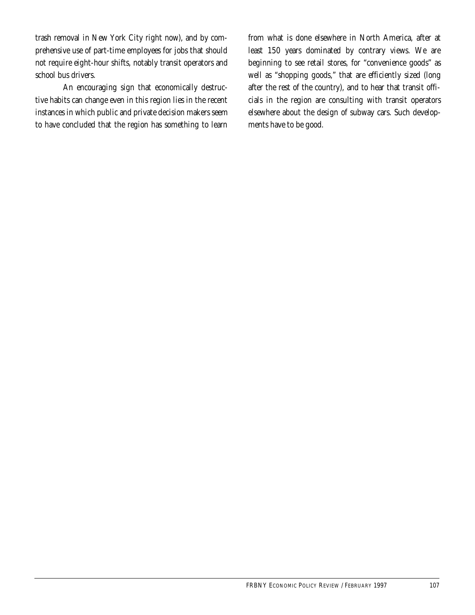trash removal in New York City right now), and by comprehensive use of part-time employees for jobs that should not require eight-hour shifts, notably transit operators and school bus drivers.

An encouraging sign that economically destructive habits can change even in this region lies in the recent instances in which public and private decision makers seem to have concluded that the region has something to learn from what is done elsewhere in North America, after at least 150 years dominated by contrary views. We are beginning to see retail stores, for "convenience goods" as well as "shopping goods," that are efficiently sized (long after the rest of the country), and to hear that transit officials in the region are consulting with transit operators elsewhere about the design of subway cars. Such developments have to be good.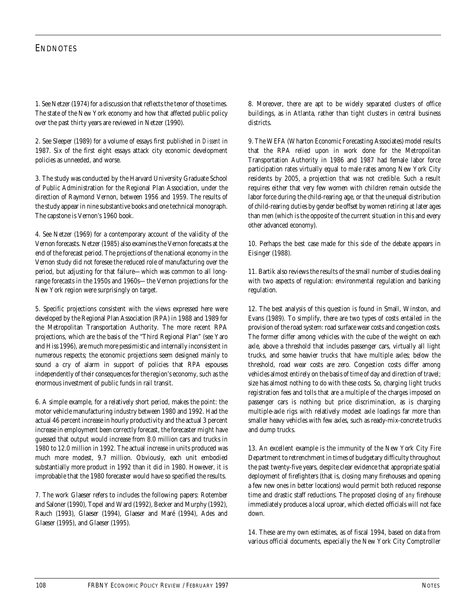#### **ENDNOTES**

1. See Netzer (1974) for a discussion that reflects the tenor of those times. The state of the New York economy and how that affected public policy over the past thirty years are reviewed in Netzer (1990).

2. See Sleeper (1989) for a volume of essays first published in *Dissent* in 1987. Six of the first eight essays attack city economic development policies as unneeded, and worse.

3. The study was conducted by the Harvard University Graduate School of Public Administration for the Regional Plan Association, under the direction of Raymond Vernon, between 1956 and 1959. The results of the study appear in nine substantive books and one technical monograph. The capstone is Vernon's 1960 book.

4. See Netzer (1969) for a contemporary account of the validity of the Vernon forecasts. Netzer (1985) also examines the Vernon forecasts at the end of the forecast period. The projections of the national economy in the Vernon study did not foresee the reduced role of manufacturing over the period, but adjusting for that failure—which was common to all longrange forecasts in the 1950s and 1960s—the Vernon projections for the New York region were surprisingly on target.

5. Specific projections consistent with the views expressed here were developed by the Regional Plan Association (RPA) in 1988 and 1989 for the Metropolitan Transportation Authority. The more recent RPA projections, which are the basis of the "Third Regional Plan" (see Yaro and Hiss 1996), are much more pessimistic and internally inconsistent in numerous respects; the economic projections seem designed mainly to sound a cry of alarm in support of policies that RPA espouses independently of their consequences for the region's economy, such as the enormous investment of public funds in rail transit.

6. A simple example, for a relatively short period, makes the point: the motor vehicle manufacturing industry between 1980 and 1992. Had the actual 46 percent increase in hourly productivity and the actual 3 percent increase in employment been correctly forecast, the forecaster might have guessed that output would increase from 8.0 million cars and trucks in 1980 to 12.0 million in 1992. The actual increase in units produced was much more modest, 9.7 million. Obviously, each unit embodied substantially more product in 1992 than it did in 1980. However, it is improbable that the 1980 forecaster would have so specified the results.

7. The work Glaeser refers to includes the following papers: Rotember and Saloner (1990), Topel and Ward (1992), Becker and Murphy (1992), Rauch (1993), Glaeser (1994), Glaeser and Maré (1994), Ades and Glaeser (1995), and Glaeser (1995).

8. Moreover, there are apt to be widely separated clusters of office buildings, as in Atlanta, rather than tight clusters in central business districts.

9. The WEFA (Wharton Economic Forecasting Associates) model results that the RPA relied upon in work done for the Metropolitan Transportation Authority in 1986 and 1987 had female labor force participation rates virtually equal to male rates among New York City residents by 2005, a projection that was not credible. Such a result requires either that very few women with children remain outside the labor force during the child-rearing age, or that the unequal distribution of child-rearing duties by gender be offset by women retiring at later ages than men (which is the opposite of the current situation in this and every other advanced economy).

10. Perhaps the best case made for this side of the debate appears in Eisinger (1988).

11. Bartik also reviews the results of the small number of studies dealing with two aspects of regulation: environmental regulation and banking regulation.

12. The best analysis of this question is found in Small, Winston, and Evans (1989). To simplify, there are two types of costs entailed in the provision of the road system: road surface wear costs and congestion costs. The former differ among vehicles with the cube of the weight on each axle, above a threshold that includes passenger cars, virtually all light trucks, and some heavier trucks that have multiple axles; below the threshold, road wear costs are zero. Congestion costs differ among vehicles almost entirely on the basis of time of day and direction of travel; size has almost nothing to do with these costs. So, charging light trucks registration fees and tolls that are a multiple of the charges imposed on passenger cars is nothing but price discrimination, as is charging multiple-axle rigs with relatively modest axle loadings far more than smaller heavy vehicles with few axles, such as ready-mix-concrete trucks and dump trucks.

13. An excellent example is the immunity of the New York City Fire Department to retrenchment in times of budgetary difficulty throughout the past twenty-five years, despite clear evidence that appropriate spatial deployment of firefighters (that is, closing many firehouses and opening a few new ones in better locations) would permit both reduced response time and drastic staff reductions. The proposed closing of *any* firehouse immediately produces a local uproar, which elected officials will not face down.

14. These are my own estimates, as of fiscal 1994, based on data from various official documents, especially the New York City Comptroller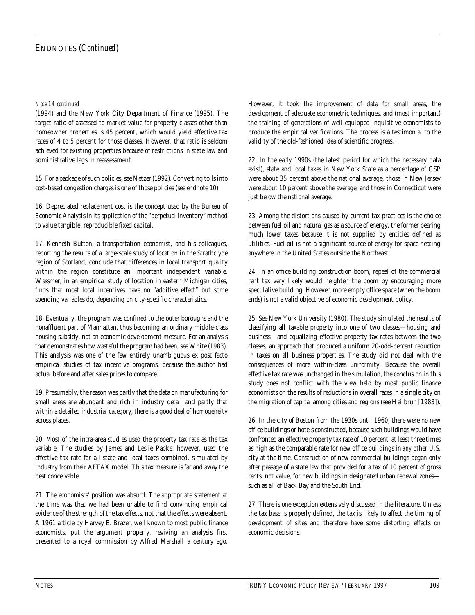#### *Note 14 continued*

(1994) and the New York City Department of Finance (1995). The target ratio of assessed to market value for property classes other than homeowner properties is 45 percent, which would yield effective tax rates of 4 to 5 percent for those classes. However, that ratio is seldom achieved for existing properties because of restrictions in state law and administrative lags in reassessment.

15. For a package of such policies, see Netzer (1992). Converting tolls into cost-based congestion charges is one of those policies (see endnote 10).

16. Depreciated replacement cost is the concept used by the Bureau of Economic Analysis in its application of the "perpetual inventory" method to value tangible, reproducible fixed capital.

17. Kenneth Button, a transportation economist, and his colleagues, reporting the results of a large-scale study of location in the Strathclyde region of Scotland, conclude that differences in local transport quality within the region constitute an important independent variable. Wassmer, in an empirical study of location in eastern Michigan cities, finds that most local incentives have no "additive effect" but some spending variables do, depending on city-specific characteristics.

18. Eventually, the program was confined to the outer boroughs and the nonaffluent part of Manhattan, thus becoming an ordinary middle-class housing subsidy, not an economic development measure. For an analysis that demonstrates how wasteful the program had been, see White (1983). This analysis was one of the few entirely unambiguous ex post facto empirical studies of tax incentive programs, because the author had actual before and after sales prices to compare.

19. Presumably, the reason was partly that the data on manufacturing for small areas are abundant and rich in industry detail and partly that within a detailed industrial category, there is a good deal of homogeneity across places.

20. Most of the intra-area studies used the property tax rate as the tax variable. The studies by James and Leslie Papke, however, used the effective tax rate for all state and local taxes combined, simulated by industry from their AFTAX model. This tax measure is far and away the best conceivable.

21. The economists' position was absurd: The appropriate statement at the time was that we had been unable to find convincing empirical evidence of the strength of the tax effects, not that the effects were absent. A 1961 article by Harvey E. Brazer, well known to most public finance economists, put the argument properly, reviving an analysis first presented to a royal commission by Alfred Marshall a century ago.

However, it took the improvement of data for small areas, the development of adequate econometric techniques, and (most important) the training of generations of well-equipped inquisitive economists to produce the empirical verifications. The process is a testimonial to the validity of the old-fashioned idea of scientific progress.

22. In the early 1990s (the latest period for which the necessary data exist), state and local taxes in New York State as a percentage of GSP were about 35 percent above the national average, those in New Jersey were about 10 percent above the average, and those in Connecticut were just below the national average.

23. Among the distortions caused by current tax practices is the choice between fuel oil and natural gas as a source of energy, the former bearing much lower taxes because it is not supplied by entities defined as utilities. Fuel oil is not a significant source of energy for space heating anywhere in the United States outside the Northeast.

24. In an office building construction boom, repeal of the commercial rent tax very likely would heighten the boom by encouraging more speculative building. However, more empty office space (when the boom ends) is not a valid objective of economic development policy.

25. See New York University (1980). The study simulated the results of classifying all taxable property into one of two classes—housing and business—and equalizing effective property tax rates between the two classes, an approach that produced a uniform 20-odd-percent reduction in taxes on all business properties. The study did not deal with the consequences of more within-class uniformity. Because the overall effective tax rate was unchanged in the simulation, the conclusion in this study does not conflict with the view held by most public finance economists on the results of reductions in overall rates in a single city on the migration of capital among cities and regions (see Heilbrun [1983]).

26. In the city of Boston from the 1930s until 1960, there were no new office buildings or hotels constructed, because such buildings would have confronted an effective property tax rate of 10 percent, at least three times as high as the comparable rate for new office buildings in *any* other U.S. city at the time. Construction of new commercial buildings began only after passage of a state law that provided for a tax of 10 percent of gross rents, not value, for new buildings in designated urban renewal zones such as all of Back Bay and the South End.

27. There is one exception extensively discussed in the literature. Unless the tax base is properly defined, the tax is likely to affect the timing of development of sites and therefore have some distorting effects on economic decisions.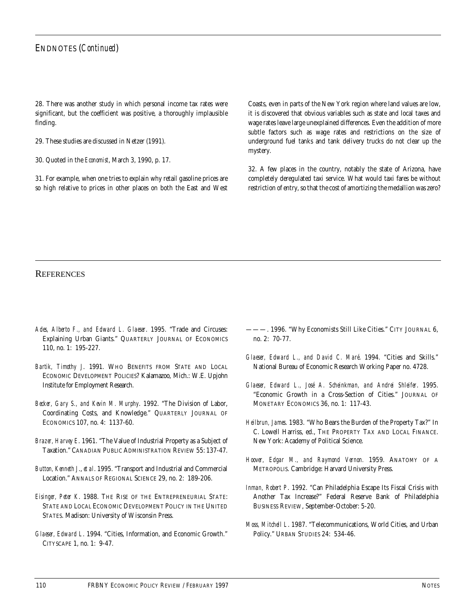#### ENDNOTES (*Continued*)

28. There was another study in which personal income tax rates were significant, but the coefficient was positive, a thoroughly implausible finding.

29. These studies are discussed in Netzer (1991).

30. Quoted in the *Economist*, March 3, 1990, p. 17.

31. For example, when one tries to explain why retail gasoline prices are so high relative to prices in other places on both the East and West

Coasts, even in parts of the New York region where land values are low, it is discovered that obvious variables such as state and local taxes and wage rates leave large unexplained differences. Even the addition of more subtle factors such as wage rates and restrictions on the size of underground fuel tanks and tank delivery trucks do not clear up the mystery.

32. A few places in the country, notably the state of Arizona, have completely deregulated taxi service. What would taxi fares be without restriction of entry, so that the cost of amortizing the medallion was zero?

#### **REFERENCES**

- *Ades, Alberto F., and Edward L. Glaeser*. 1995. "Trade and Circuses: Explaining Urban Giants." QUARTERLY JOURNAL OF ECONOMICS 110, no. 1: 195-227.
- *Bartik, Timothy J*. 1991. WHO BENEFITS FROM STATE AND LOCAL ECONOMIC DEVELOPMENT POLICIES? Kalamazoo, Mich.: W.E. Upjohn Institute for Employment Research.
- *Becker, Gary S., and Kevin M. Murphy*. 1992. "The Division of Labor, Coordinating Costs, and Knowledge." QUARTERLY JOURNAL OF ECONOMICS 107, no. 4: 1137-60.
- *Brazer, Harvey E*. 1961. "The Value of Industrial Property as a Subject of Taxation." CANADIAN PUBLIC ADMINISTRATION REVIEW 55: 137-47.
- *Button, Kenneth J*., *et al*. 1995. "Transport and Industrial and Commercial Location." ANNALS OF REGIONAL SCIENCE 29, no. 2: 189-206.
- *Eisinger, Peter K*. 1988. THE RISE OF THE ENTREPRENEURIAL STATE: STATE AND LOCAL ECONOMIC DEVELOPMENT POLICY IN THE UNITED STATES. Madison: University of Wisconsin Press.
- *Glaeser, Edward L*. 1994. "Cities, Information, and Economic Growth." CITYSCAPE 1, no. 1: 9-47.
- ———. 1996. "Why Economists Still Like Cities." CITY JOURNAL 6, no. 2: 70-77.
- *Glaeser, Edward L., and David C. Maré*. 1994. "Cities and Skills." National Bureau of Economic Research Working Paper no. 4728.
- *Glaeser, Edward L., José A. Scheinkman, and Andrei Shleifer*. 1995. "Economic Growth in a Cross-Section of Cities." JOURNAL OF MONETARY ECONOMICS 36, no. 1: 117-43.
- *Heilbrun, James*. 1983. "Who Bears the Burden of the Property Tax?" In C. Lowell Harriss, ed., THE PROPERTY TAX AND LOCAL FINANCE. New York: Academy of Political Science.
- *Hoover, Edgar M., and Raymond Vernon.* 1959. ANATOMY OF A METROPOLIS. Cambridge: Harvard University Press.
- *Inman, Robert P*. 1992. "Can Philadelphia Escape Its Fiscal Crisis with Another Tax Increase?" Federal Reserve Bank of Philadelphia BUSINESS REVIEW, September-October: 5-20.
- *Moss, Mitchell L*. 1987. "Telecommunications, World Cities, and Urban Policy." URBAN STUDIES 24: 534-46.